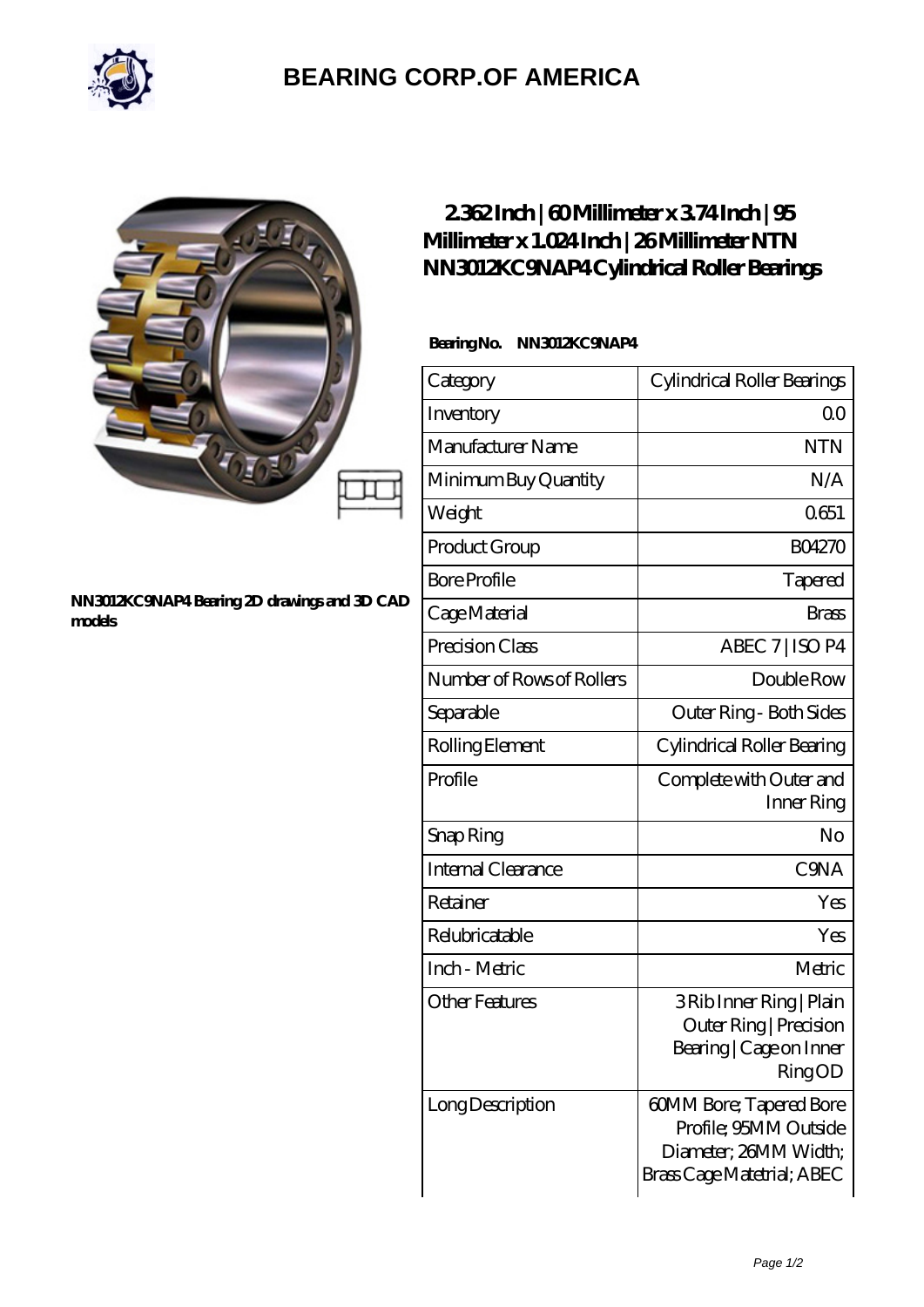

# **[BEARING CORP.OF AMERICA](https://bluemondayreview.com)**

#### **[NN3012KC9NAP4 Bearing 2D drawings and 3D CAD](https://bluemondayreview.com/pic-174952.html) [models](https://bluemondayreview.com/pic-174952.html)**

## **[2.362 Inch | 60 Millimeter x 3.74 Inch | 95](https://bluemondayreview.com/ar-174952-ntn-nn3012kc9nap4-cylindrical-roller-bearings.html) [Millimeter x 1.024 Inch | 26 Millimeter NTN](https://bluemondayreview.com/ar-174952-ntn-nn3012kc9nap4-cylindrical-roller-bearings.html) [NN3012KC9NAP4 Cylindrical Roller Bearings](https://bluemondayreview.com/ar-174952-ntn-nn3012kc9nap4-cylindrical-roller-bearings.html)**

### **Bearing No. NN3012KC9NAP4**

| Category                  | Cylindrical Roller Bearings                                                                             |
|---------------------------|---------------------------------------------------------------------------------------------------------|
| Inventory                 | 0 <sup>0</sup>                                                                                          |
| Manufacturer Name         | <b>NTN</b>                                                                                              |
| Minimum Buy Quantity      | N/A                                                                                                     |
| Weight                    | 0651                                                                                                    |
| Product Group             | <b>BO4270</b>                                                                                           |
| <b>Bore Profile</b>       | Tapered                                                                                                 |
| Cage Material             | <b>Brass</b>                                                                                            |
| Precision Class           | ABEC 7   ISO P4                                                                                         |
| Number of Rows of Rollers | Double Row                                                                                              |
| Separable                 | Outer Ring - Both Sides                                                                                 |
| Rolling Element           | Cylindrical Roller Bearing                                                                              |
| Profile                   | Complete with Outer and<br>Inner Ring                                                                   |
| Snap Ring                 | No                                                                                                      |
| <b>Internal Clearance</b> | C <sub>9</sub> NA                                                                                       |
| Retainer                  | Yes                                                                                                     |
| Relubricatable            | Yes                                                                                                     |
| Inch - Metric             | Metric                                                                                                  |
| <b>Other Features</b>     | 3 Rib Inner Ring   Plain<br>Outer Ring   Precision<br>Bearing   Cage on Inner<br>RingOD                 |
| Long Description          | 60MM Bore; Tapered Bore<br>Profile; 95MM Outside<br>Diameter; 26MM Width;<br>Brass Cage Matetrial; ABEC |